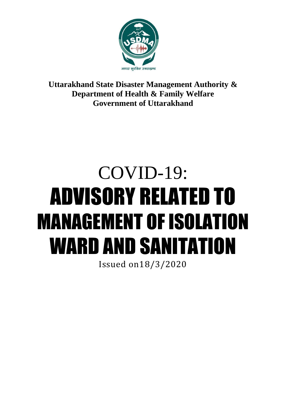

**Uttarakhand State Disaster Management Authority & Department of Health & Family Welfare Government of Uttarakhand**

# COVID-19: ADVISORY RELATED TO MANAGEMENT OF ISOLATION WARD AND SANITATION

Issued on18/3/2020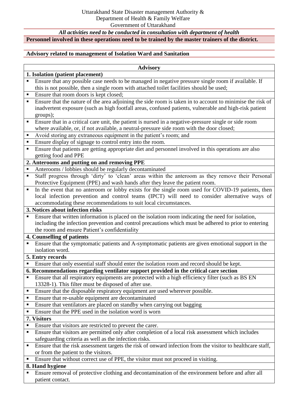*All activities need to be conducted in consultation with department of health*

## **Personnel involved in these operations need to be trained by the master trainers of the district.**

## **Advisory related to management of Isolation Ward and Sanitation**

#### **Advisory**

| 1. Isolation (patient placement) |                                                                                                           |
|----------------------------------|-----------------------------------------------------------------------------------------------------------|
|                                  | Ensure that any possible case needs to be managed in negative pressure single room if available. If       |
|                                  | this is not possible, then a single room with attached toilet facilities should be used;                  |
| $\blacksquare$                   | Ensure that room doors is kept closed;                                                                    |
| $\blacksquare$                   | Ensure that the nature of the area adjoining the side room is taken in to account to minimise the risk of |
|                                  | inadvertent exposure (such as high footfall areas, confused patients, vulnerable and high-risk patient    |
|                                  | groups);                                                                                                  |
| $\blacksquare$                   | Ensure that in a critical care unit, the patient is nursed in a negative-pressure single or side room     |
|                                  | where available, or, if not available, a neutral-pressure side room with the door closed;                 |
|                                  | Avoid storing any extraneous equipment in the patient's room; and                                         |

- **Ensure display of signage to control entry into the room.**
- Ensure that patients are getting appropriate diet and personnel involved in this operations are also getting food and PPE

## **2. Anterooms and putting on and removing PPE**

- Anterooms / lobbies should be regularly decontaminated
- Staff progress through 'dirty' to 'clean' areas within the anteroom as they remove their Personal Protective Equipment (PPE) and wash hands after they leave the patient room.
- In the event that no anteroom or lobby exists for the single room used for COVID-19 patients, then local infection prevention and control teams (IPCT) will need to consider alternative ways of accommodating these recommendations to suit local circumstances.

## **3. Notices about infection risks**

 Ensure that written information is placed on the isolation room indicating the need for isolation, including the infection prevention and control precautions which must be adhered to prior to entering the room and ensure Patient's confidentiality

#### **4. Counselling of patients**

**Ensure that the symptomatic patients and A-symptomatic patients are given emotional support in the** isolation word.

#### **5. Entry records**

**Ensure that only essential staff should enter the isolation room and record should be kept.** 

**6. Recommendations regarding ventilator support provided in the critical care section**

- Ensure that all respiratory equipments are protected with a high efficiency filter (such as BS EN 13328-1). This filter must be disposed of after use.
- Ensure that the disposable respiratory equipment are used wherever possible.
- Ensure that re-usable equipment are decontaminated
- Ensure that ventilators are placed on standby when carrying out bagging
- Ensure that the PPE used in the isolation word is worn

## **7. Visitors**

- Ensure that visitors are restricted to prevent the carer.
- **Ensure that visitors are permitted only after completion of a local risk assessment which includes** safeguarding criteria as well as the infection risks.
- **Ensure that the risk assessment targets the risk of onward infection from the visitor to healthcare staff,** or from the patient to the visitors.
- **Ensure that without correct use of PPE, the visitor must not proceed in visiting.**

## **8. Hand hygiene**

**Ensure removal of protective clothing and decontamination of the environment before and after all** patient contact.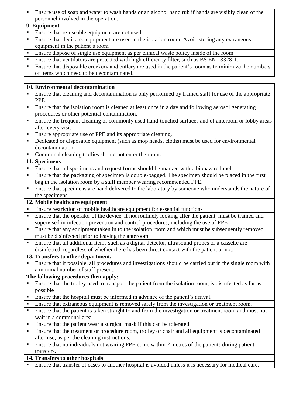Ensure use of soap and water to wash hands or an alcohol hand rub if hands are visibly clean of the personnel involved in the operation.

## **9. Equipment**

- Ensure that re-useable equipment are not used.
- Ensure that dedicated equipment are used in the isolation room. Avoid storing any extraneous equipment in the patient's room
- Ensure dispose of single use equipment as per clinical waste policy inside of the room
- Ensure that ventilators are protected with high efficiency filter, such as BS EN 13328-1.
- Ensure that disposable crockery and cutlery are used in the patient's room as to minimize the numbers of items which need to be decontaminated.

# **10. Environmental decontamination**

- Ensure that cleaning and decontamination is only performed by trained staff for use of the appropriate PPE.
- Ensure that the isolation room is cleaned at least once in a day and following aerosol generating procedures or other potential contamination.
- **Ensure the frequent cleaning of commonly used hand-touched surfaces and of anteroom or lobby areas** after every visit
- Ensure appropriate use of PPE and its appropriate cleaning.
- Dedicated or disposable equipment (such as mop heads, cloths) must be used for environmental decontamination.
- Communal cleaning trollies should not enter the room.

# **11. Specimens**

- Ensure that all specimens and request forms should be marked with a biohazard label.
- Ensure that the packaging of specimen is double-bagged. The specimen should be placed in the first bag in the isolation room by a staff member wearing recommended PPE.
- Ensure that specimens are hand delivered to the laboratory by someone who understands the nature of the specimens.

# **12. Mobile healthcare equipment**

- Ensure restriction of mobile healthcare equipment for essential functions
- Ensure that the operator of the device, if not routinely looking after the patient, must be trained and supervised in infection prevention and control procedures, including the use of PPE
- **Ensure that any equipment taken in to the isolation room and which must be subsequently removed** must be disinfected prior to leaving the anteroom
- Ensure that all additional items such as a digital detector, ultrasound probes or a cassette are disinfected, regardless of whether there has been direct contact with the patient or not.

# **13. Transfers to other department.**

 Ensure that if possible, all procedures and investigations should be carried out in the single room with a minimal number of staff present.

# **The following procedures then apply:**

- Ensure that the trolley used to transport the patient from the isolation room, is disinfected as far as possible
- **Ensure that the hospital must be informed in advance of the patient's arrival.**
- Ensure that extraneous equipment is removed safely from the investigation or treatment room.
- Ensure that the patient is taken straight to and from the investigation or treatment room and must not wait in a communal area.
- **Ensure that the patient wear a surgical mask if this can be tolerated**
- Ensure that the treatment or procedure room, trolley or chair and all equipment is decontaminated after use, as per the cleaning instructions.
- Ensure that no individuals not wearing PPE come within 2 metres of the patients during patient transfers.

# **14. Transfers to other hospitals**

Ensure that transfer of cases to another hospital is avoided unless it is necessary for medical care.